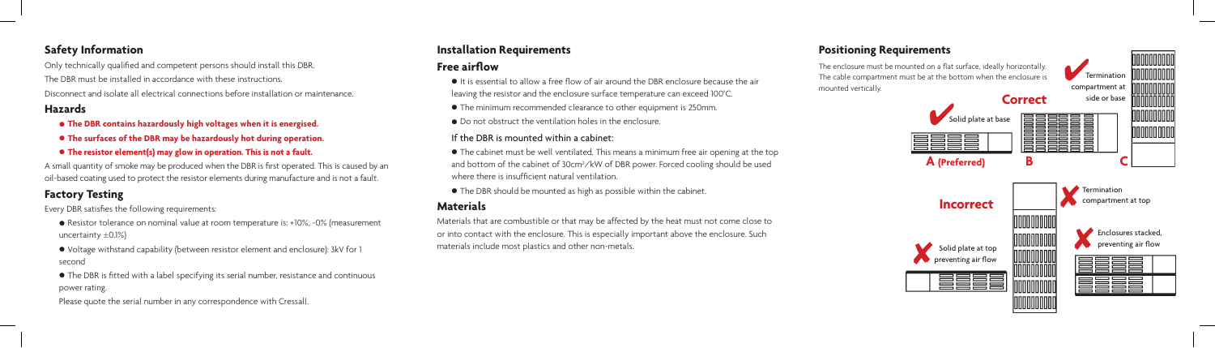#### **Safety Information**

Only technically qualified and competent persons should install this DBR. The DBR must be installed in accordance with these instructions. Disconnect and isolate all electrical connections before installation or maintenance.

## **Hazards**

- **• The DBR contains hazardously high voltages when it is energised.**
- **• The surfaces of the DBR may be hazardously hot during operation.**
- **• The resistor element(s) may glow in operation. This is not a fault.**

A small quantity of smoke may be produced when the DBR is first operated. This is caused by an oil-based coating used to protect the resistor elements during manufacture and is not a fault.

# **Factory Testing**

Every DBR satisfies the following requirements:

**•** The cabinet must be well ventilated. This means a minimum free air opening at the top and bottom of the cabinet of 30cm<sup>2</sup>/kW of DBR power. Forced cooling should be used where there is insufficient natural ventilation.

- **•** Resistor tolerance on nominal value at room temperature is: +10%, -0% (measurement uncertainty  $\pm 0.1\%$
- **•** Voltage withstand capability (between resistor element and enclosure): 3kV for 1 second

**•** The DBR is fitted with a label specifying its serial number, resistance and continuous power rating.



Please quote the serial number in any correspondence with Cressall.

# **Installation Requirements**

## **Free airflow**

**•** It is essential to allow a free flow of air around the DBR enclosure because the air leaving the resistor and the enclosure surface temperature can exceed 100°C.

**•** The minimum recommended clearance to other equipment is 250mm.

**•** Do not obstruct the ventilation holes in the enclosure.

#### If the DBR is mounted within a cabinet:

**•** The DBR should be mounted as high as possible within the cabinet.

## **Materials**

Materials that are combustible or that may be affected by the heat must not come close to or into contact with the enclosure. This is especially important above the enclosure. Such materials include most plastics and other non-metals.

## **Positioning Requirements**

The enclosure must be mounted on a flat surface, ideally horizontally. The cable compartment must be at the bottom when the enclosure is mounted vertically.